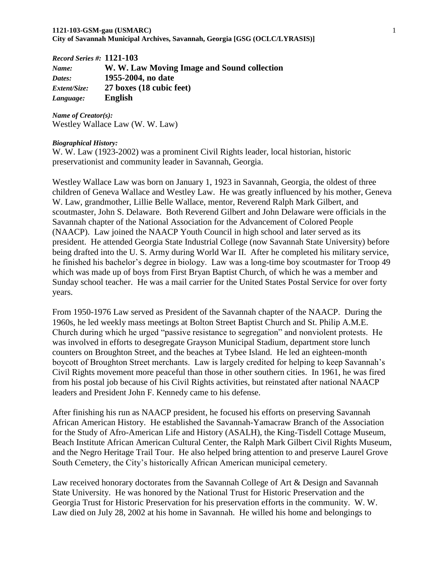*Record Series #:* **1121-103** *Name:* **W. W. Law Moving Image and Sound collection** *Dates:* **1955-2004, no date** *Extent/Size:* **27 boxes (18 cubic feet)** *Language:* **English**

*Name of Creator(s):* Westley Wallace Law (W. W. Law)

#### *Biographical History:*

W. W. Law (1923-2002) was a prominent Civil Rights leader, local historian, historic preservationist and community leader in Savannah, Georgia.

Westley Wallace Law was born on January 1, 1923 in Savannah, Georgia, the oldest of three children of Geneva Wallace and Westley Law. He was greatly influenced by his mother, Geneva W. Law, grandmother, Lillie Belle Wallace, mentor, Reverend Ralph Mark Gilbert, and scoutmaster, John S. Delaware. Both Reverend Gilbert and John Delaware were officials in the Savannah chapter of the National Association for the Advancement of Colored People (NAACP). Law joined the NAACP Youth Council in high school and later served as its president. He attended Georgia State Industrial College (now Savannah State University) before being drafted into the U. S. Army during World War II. After he completed his military service, he finished his bachelor's degree in biology. Law was a long-time boy scoutmaster for Troop 49 which was made up of boys from First Bryan Baptist Church, of which he was a member and Sunday school teacher. He was a mail carrier for the United States Postal Service for over forty years.

From 1950-1976 Law served as President of the Savannah chapter of the NAACP. During the 1960s, he led weekly mass meetings at Bolton Street Baptist Church and St. Philip A.M.E. Church during which he urged "passive resistance to segregation" and nonviolent protests. He was involved in efforts to desegregate Grayson Municipal Stadium, department store lunch counters on Broughton Street, and the beaches at Tybee Island. He led an eighteen-month boycott of Broughton Street merchants. Law is largely credited for helping to keep Savannah's Civil Rights movement more peaceful than those in other southern cities. In 1961, he was fired from his postal job because of his Civil Rights activities, but reinstated after national NAACP leaders and President John F. Kennedy came to his defense.

After finishing his run as NAACP president, he focused his efforts on preserving Savannah African American History. He established the Savannah-Yamacraw Branch of the Association for the Study of Afro-American Life and History (ASALH), the King-Tisdell Cottage Museum, Beach Institute African American Cultural Center, the Ralph Mark Gilbert Civil Rights Museum, and the Negro Heritage Trail Tour. He also helped bring attention to and preserve Laurel Grove South Cemetery, the City's historically African American municipal cemetery.

Law received honorary doctorates from the Savannah College of Art & Design and Savannah State University. He was honored by the National Trust for Historic Preservation and the Georgia Trust for Historic Preservation for his preservation efforts in the community. W. W. Law died on July 28, 2002 at his home in Savannah. He willed his home and belongings to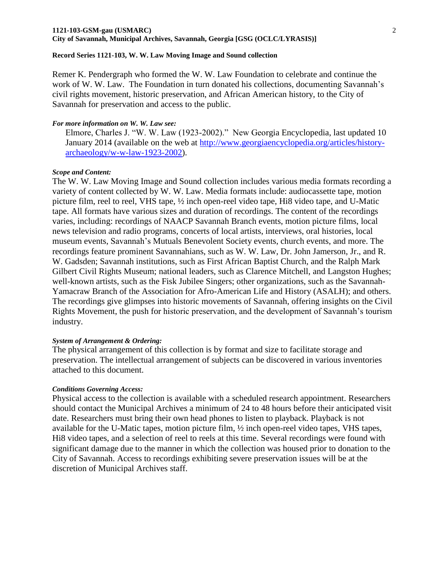## **1121-103-GSM-gau (USMARC)** 2

# **City of Savannah, Municipal Archives, Savannah, Georgia [GSG (OCLC/LYRASIS)]**

## **Record Series 1121-103, W. W. Law Moving Image and Sound collection**

Remer K. Pendergraph who formed the W. W. Law Foundation to celebrate and continue the work of W. W. Law. The Foundation in turn donated his collections, documenting Savannah's civil rights movement, historic preservation, and African American history, to the City of Savannah for preservation and access to the public.

## *For more information on W. W. Law see:*

Elmore, Charles J. "W. W. Law (1923-2002)." New Georgia Encyclopedia, last updated 10 January 2014 (available on the web at [http://www.georgiaencyclopedia.org/articles/history](http://www.georgiaencyclopedia.org/articles/history-archaeology/w-w-law-1923-2002)[archaeology/w-w-law-1923-2002\)](http://www.georgiaencyclopedia.org/articles/history-archaeology/w-w-law-1923-2002).

## *Scope and Content:*

The W. W. Law Moving Image and Sound collection includes various media formats recording a variety of content collected by W. W. Law. Media formats include: audiocassette tape, motion picture film, reel to reel, VHS tape, ½ inch open-reel video tape, Hi8 video tape, and U-Matic tape. All formats have various sizes and duration of recordings. The content of the recordings varies, including: recordings of NAACP Savannah Branch events, motion picture films, local news television and radio programs, concerts of local artists, interviews, oral histories, local museum events, Savannah's Mutuals Benevolent Society events, church events, and more. The recordings feature prominent Savannahians, such as W. W. Law, Dr. John Jamerson, Jr., and R. W. Gadsden; Savannah institutions, such as First African Baptist Church, and the Ralph Mark Gilbert Civil Rights Museum; national leaders, such as Clarence Mitchell, and Langston Hughes; well-known artists, such as the Fisk Jubilee Singers; other organizations, such as the Savannah-Yamacraw Branch of the Association for Afro-American Life and History (ASALH); and others. The recordings give glimpses into historic movements of Savannah, offering insights on the Civil Rights Movement, the push for historic preservation, and the development of Savannah's tourism industry.

## *System of Arrangement & Ordering:*

The physical arrangement of this collection is by format and size to facilitate storage and preservation. The intellectual arrangement of subjects can be discovered in various inventories attached to this document.

## *Conditions Governing Access:*

Physical access to the collection is available with a scheduled research appointment. Researchers should contact the Municipal Archives a minimum of 24 to 48 hours before their anticipated visit date. Researchers must bring their own head phones to listen to playback. Playback is not available for the U-Matic tapes, motion picture film, ½ inch open-reel video tapes, VHS tapes, Hi8 video tapes, and a selection of reel to reels at this time. Several recordings were found with significant damage due to the manner in which the collection was housed prior to donation to the City of Savannah. Access to recordings exhibiting severe preservation issues will be at the discretion of Municipal Archives staff.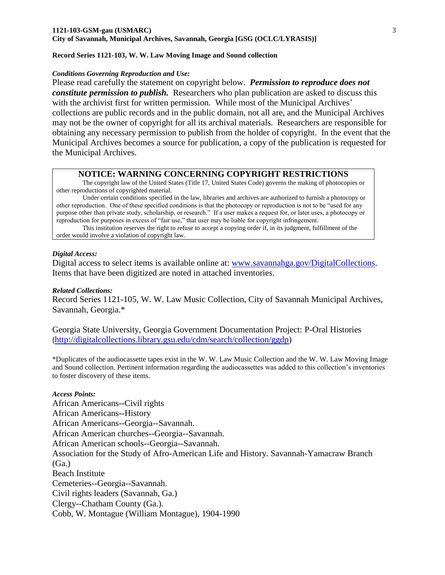#### **Record Series 1121-103, W. W. Law Moving Image and Sound collection**

#### *Conditions Governing Reproduction and Use:*

Please read carefully the statement on copyright below. *Permission to reproduce does not constitute permission to publish.* Researchers who plan publication are asked to discuss this with the archivist first for written permission. While most of the Municipal Archives' collections are public records and in the public domain, not all are, and the Municipal Archives may not be the owner of copyright for all its archival materials. Researchers are responsible for obtaining any necessary permission to publish from the holder of copyright. In the event that the Municipal Archives becomes a source for publication, a copy of the publication is requested for the Municipal Archives.

#### **NOTICE: WARNING CONCERNING COPYRIGHT RESTRICTIONS**

The copyright law of the United States (Title 17, United States Code) governs the making of photocopies or other reproductions of copyrighted material.

Under certain conditions specified in the law, libraries and archives are authorized to furnish a photocopy or other reproduction. One of these specified conditions is that the photocopy or reproduction is not to be "used for any purpose other than private study, scholarship, or research." If a user makes a request for, or later uses, a photocopy or reproduction for purposes in excess of "fair use," that user may be liable for copyright infringement.

This institution reserves the right to refuse to accept a copying order if, in its judgment, fulfillment of the order would involve a violation of copyright law.

#### *Digital Access:*

Digital access to select items is available online at: [www.savannahga.gov/DigitalCollections.](http://www.savannahga.gov/DigitalCollections) Items that have been digitized are noted in attached inventories.

#### *Related Collections:*

Record Series 1121-105, W. W. Law Music Collection, City of Savannah Municipal Archives, Savannah, Georgia.\*

Georgia State University, Georgia Government Documentation Project: P-Oral Histories ([http://digitalcollections.library.gsu.edu/cdm/search/collection/ggdp\)](http://digitalcollections.library.gsu.edu/cdm/search/collection/ggdp)

\*Duplicates of the audiocassette tapes exist in the W. W. Law Music Collection and the W. W. Law Moving Image and Sound collection. Pertinent information regarding the audiocassettes was added to this collection's inventories to foster discovery of these items.

## *Access Points:*

African Americans--Civil rights African Americans--History African Americans--Georgia--Savannah. African American churches--Georgia--Savannah. African American schools--Georgia--Savannah. Association for the Study of Afro-American Life and History. Savannah-Yamacraw Branch (Ga.) Beach Institute Cemeteries--Georgia--Savannah. Civil rights leaders (Savannah, Ga.) Clergy--Chatham County (Ga.). Cobb, W. Montague (William Montague), 1904-1990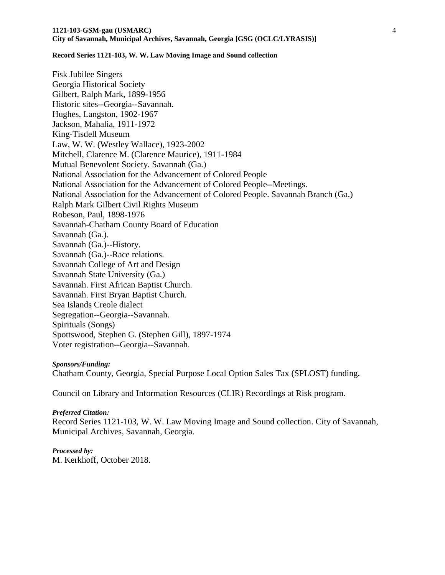**Record Series 1121-103, W. W. Law Moving Image and Sound collection**

Fisk Jubilee Singers Georgia Historical Society Gilbert, Ralph Mark, 1899-1956 Historic sites--Georgia--Savannah. Hughes, Langston, 1902-1967 Jackson, Mahalia, 1911-1972 King-Tisdell Museum Law, W. W. (Westley Wallace), 1923-2002 Mitchell, Clarence M. (Clarence Maurice), 1911-1984 Mutual Benevolent Society. Savannah (Ga.) National Association for the Advancement of Colored People National Association for the Advancement of Colored People--Meetings. National Association for the Advancement of Colored People. Savannah Branch (Ga.) Ralph Mark Gilbert Civil Rights Museum Robeson, Paul, 1898-1976 Savannah-Chatham County Board of Education Savannah (Ga.). Savannah (Ga.)--History. Savannah (Ga.)--Race relations. Savannah College of Art and Design Savannah State University (Ga.) Savannah. First African Baptist Church. Savannah. First Bryan Baptist Church. Sea Islands Creole dialect Segregation--Georgia--Savannah. Spirituals (Songs) Spottswood, Stephen G. (Stephen Gill), 1897-1974 Voter registration--Georgia--Savannah.

#### *Sponsors/Funding:*

Chatham County, Georgia, Special Purpose Local Option Sales Tax (SPLOST) funding.

Council on Library and Information Resources (CLIR) Recordings at Risk program.

#### *Preferred Citation:*

Record Series 1121-103, W. W. Law Moving Image and Sound collection. City of Savannah, Municipal Archives, Savannah, Georgia.

*Processed by:* M. Kerkhoff, October 2018.